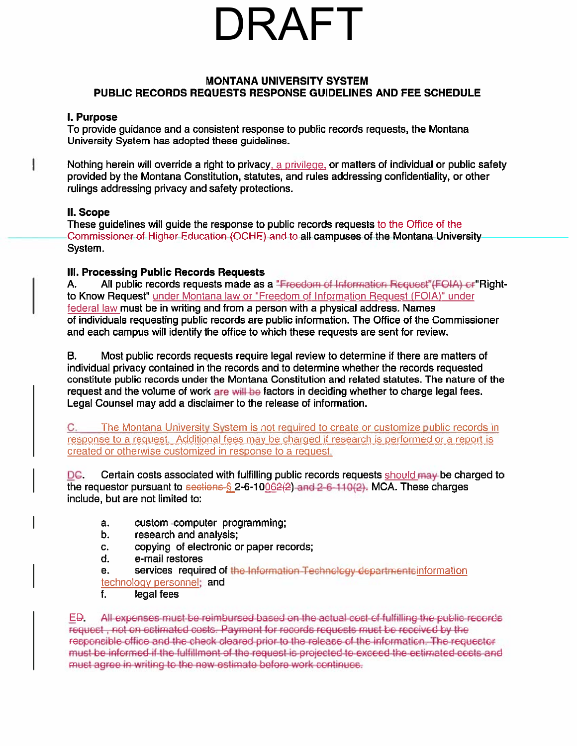## IRAFT

### **MONTANA UNIVERSITY SYSTEM** PUBLIC RECORDS REQUESTS RESPONSE GUIDELINES AND FEE SCHEDULE

### **i. Purpose**

To provide quidance and a consistent response to public records requests, the Montana University System has adopted these quidelines.

Nothing herein will override a right to privacy, a privilege, or matters of individual or public safety provided by the Montana Constitution, statutes, and rules addressing confidentiality, or other rulings addressing privacy and safety protections.

### II. Scope

ł

These guidelines will guide the response to public records requests to the Office of the Commissioner of Higher Education (OCHE) and to all campuses of the Montana University System.

### III. Processing Public Records Requests

А. All public records requests made as a "Freedom of Information Request"(FOIA) or "Rightto Know Request" under Montana law or "Freedom of Information Request (FOIA)" under federal law must be in writing and from a person with a physical address. Names of individuals requesting public records are public information. The Office of the Commissioner and each campus will identify the office to which these requests are sent for review.

В. Most public records requests require legal review to determine if there are matters of individual privacy contained in the records and to determine whether the records requested constitute public records under the Montana Constitution and related statutes. The nature of the request and the volume of work are will be factors in deciding whether to charge legal fees. Legal Counsel may add a disclaimer to the release of information.

The Montana University System is not required to create or customize public records in C. response to a request. Additional fees may be charged if research is performed or a report is created or otherwise customized in response to a request.

Certain costs associated with fulfilling public records requests should may be charged to DC. the requestor pursuant to sections § 2-6-10062(2) and 2-6-110(2). MCA. These charges include, but are not limited to:

- a. custom-computer programming;
- research and analysis; b.
- copying of electronic or paper records; C.
- d. e-mail restores
- services required of the Information Technology departments information e. technology personnel; and
- f. legal fees

EĐ. All expenses must be reimbursed based on the actual cost of fulfilling the public records request, not on estimated costs. Payment for records requests must be received by the responsible office and the check cleared prior to the release of the information. The requester must be informed if the fulfillment of the request is projected to exceed the estimated costs and must agree in writing to the new estimate before work continues.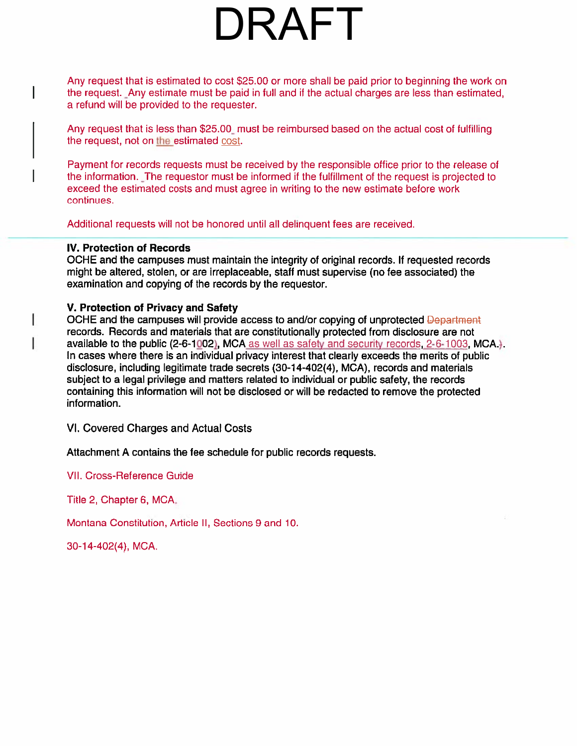### DRAFT

Any reques<sup>t</sup> that is estimated to cost \$25.00 or more shall be paid prior to beginning the work on the request. Any estimate must be paid in full and if the actual charges are less than estimated, <sup>a</sup> refund will be provided to the requester.

Any reques<sup>t</sup> that is less than \$25.00 must be reimbursed based on the actual cost of fulfilling the request, not on the estimated cost.

Payment for records requests must be received by the responsible office prior to the release of the information. The requestor must be informed if the fulfillment of the reques<sup>t</sup> is projected to exceed the estimated costs and must agree in writing to the new estimate before work continues.

Additional requests will not be honored until all delinquent fees are received.

#### IV. Protection of Records

 $\mathbf{I}$ 

OCHE and the campuses must maintain the integrity of original records. If requested records might be altered, stolen, or are irreplaceable, staff must supervise (no fee associated) the examination and copying of the records by the requestor.

#### V. Protection of Privacy and Safety

OCHE and the campuses will provide access to and/or copying of unprotected Department records. Records and materials that are constitutionally protected from disclosure are not available to the public (2-6-1002), MCA as well as safety and security records,  $2-6-1003$ , MCA.). In cases where there is an individual privacy interest that clearly exceeds the merits of public disclosure, including legitimate trade secrets (30-14-402(4), MCA), records and materials subject to <sup>a</sup> legal privilege and matters related to individual or public safety, the records containing this information will not be disclosed or will be redacted to remove the protected information.

VI. Covered Charges and Actual Costs

Attachment A contains the fee schedule for public records requests.

VII. Cross-Reference Guide

Title 2, Chapter 6, MCA.

Montana Constitution, Article II, Sections 9 and 10.

30-14-402(4), MCA.